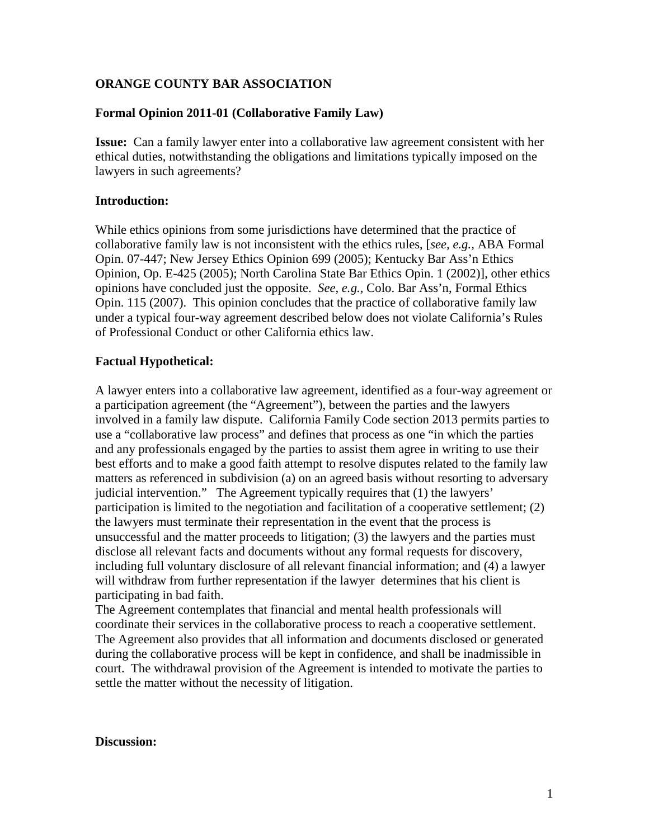### **ORANGE COUNTY BAR ASSOCIATION**

### **Formal Opinion 2011-01 (Collaborative Family Law)**

**Issue:** Can a family lawyer enter into a collaborative law agreement consistent with her ethical duties, notwithstanding the obligations and limitations typically imposed on the lawyers in such agreements?

#### **Introduction:**

While ethics opinions from some jurisdictions have determined that the practice of collaborative family law is not inconsistent with the ethics rules, [*see, e.g.,* ABA Formal Opin. 07-447; New Jersey Ethics Opinion 699 (2005); Kentucky Bar Ass'n Ethics Opinion, Op. E-425 (2005); North Carolina State Bar Ethics Opin. 1 (2002)], other ethics opinions have concluded just the opposite. *See, e.g.,* Colo. Bar Ass'n, Formal Ethics Opin. 115 (2007). This opinion concludes that the practice of collaborative family law under a typical four-way agreement described below does not violate California's Rules of Professional Conduct or other California ethics law.

#### **Factual Hypothetical:**

A lawyer enters into a collaborative law agreement, identified as a four-way agreement or a participation agreement (the "Agreement"), between the parties and the lawyers involved in a family law dispute. California Family Code section 2013 permits parties to use a "collaborative law process" and defines that process as one "in which the parties and any professionals engaged by the parties to assist them agree in writing to use their best efforts and to make a good faith attempt to resolve disputes related to the family law matters as referenced in subdivision (a) on an agreed basis without resorting to adversary judicial intervention." The Agreement typically requires that (1) the lawyers' participation is limited to the negotiation and facilitation of a cooperative settlement; (2) the lawyers must terminate their representation in the event that the process is unsuccessful and the matter proceeds to litigation; (3) the lawyers and the parties must disclose all relevant facts and documents without any formal requests for discovery, including full voluntary disclosure of all relevant financial information; and (4) a lawyer will withdraw from further representation if the lawyer determines that his client is participating in bad faith.

The Agreement contemplates that financial and mental health professionals will coordinate their services in the collaborative process to reach a cooperative settlement. The Agreement also provides that all information and documents disclosed or generated during the collaborative process will be kept in confidence, and shall be inadmissible in court. The withdrawal provision of the Agreement is intended to motivate the parties to settle the matter without the necessity of litigation.

#### **Discussion:**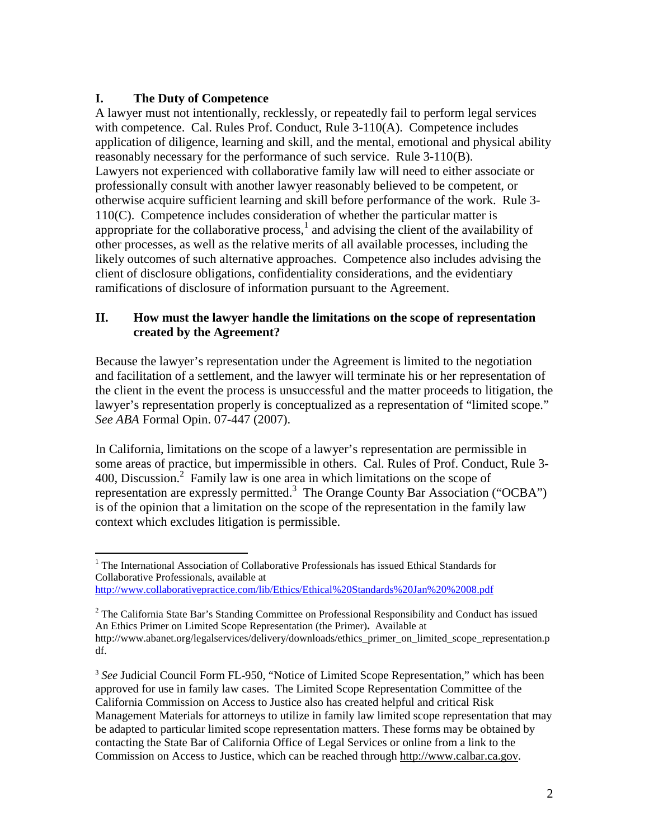## **I. The Duty of Competence**

-

A lawyer must not intentionally, recklessly, or repeatedly fail to perform legal services with competence. Cal. Rules Prof. Conduct, Rule 3-110(A). Competence includes application of diligence, learning and skill, and the mental, emotional and physical ability reasonably necessary for the performance of such service. Rule 3-110(B). Lawyers not experienced with collaborative family law will need to either associate or professionally consult with another lawyer reasonably believed to be competent, or otherwise acquire sufficient learning and skill before performance of the work. Rule 3- 110(C). Competence includes consideration of whether the particular matter is appropriate for the collaborative process, $<sup>1</sup>$  and advising the client of the availability of</sup> other processes, as well as the relative merits of all available processes, including the likely outcomes of such alternative approaches. Competence also includes advising the client of disclosure obligations, confidentiality considerations, and the evidentiary ramifications of disclosure of information pursuant to the Agreement.

## **II. How must the lawyer handle the limitations on the scope of representation created by the Agreement?**

Because the lawyer's representation under the Agreement is limited to the negotiation and facilitation of a settlement, and the lawyer will terminate his or her representation of the client in the event the process is unsuccessful and the matter proceeds to litigation, the lawyer's representation properly is conceptualized as a representation of "limited scope." *See ABA* Formal Opin. 07-447 (2007).

In California, limitations on the scope of a lawyer's representation are permissible in some areas of practice, but impermissible in others. Cal. Rules of Prof. Conduct, Rule 3- 400, Discussion.<sup>2</sup> Family law is one area in which limitations on the scope of representation are expressly permitted.<sup>3</sup> The Orange County Bar Association ("OCBA") is of the opinion that a limitation on the scope of the representation in the family law context which excludes litigation is permissible.

<sup>&</sup>lt;sup>1</sup> The International Association of Collaborative Professionals has issued Ethical Standards for Collaborative Professionals, available at http://www.collaborativepractice.com/lib/Ethics/Ethical%20Standards%20Jan%20%2008.pdf

 $2$  The California State Bar's Standing Committee on Professional Responsibility and Conduct has issued An Ethics Primer on Limited Scope Representation (the Primer)**.** Available at http://www.abanet.org/legalservices/delivery/downloads/ethics\_primer\_on\_limited\_scope\_representation.p df.

<sup>&</sup>lt;sup>3</sup> See Judicial Council Form FL-950, "Notice of Limited Scope Representation," which has been approved for use in family law cases. The Limited Scope Representation Committee of the California Commission on Access to Justice also has created helpful and critical Risk Management Materials for attorneys to utilize in family law limited scope representation that may be adapted to particular limited scope representation matters. These forms may be obtained by contacting the State Bar of California Office of Legal Services or online from a link to the Commission on Access to Justice, which can be reached through http://www.calbar.ca.gov.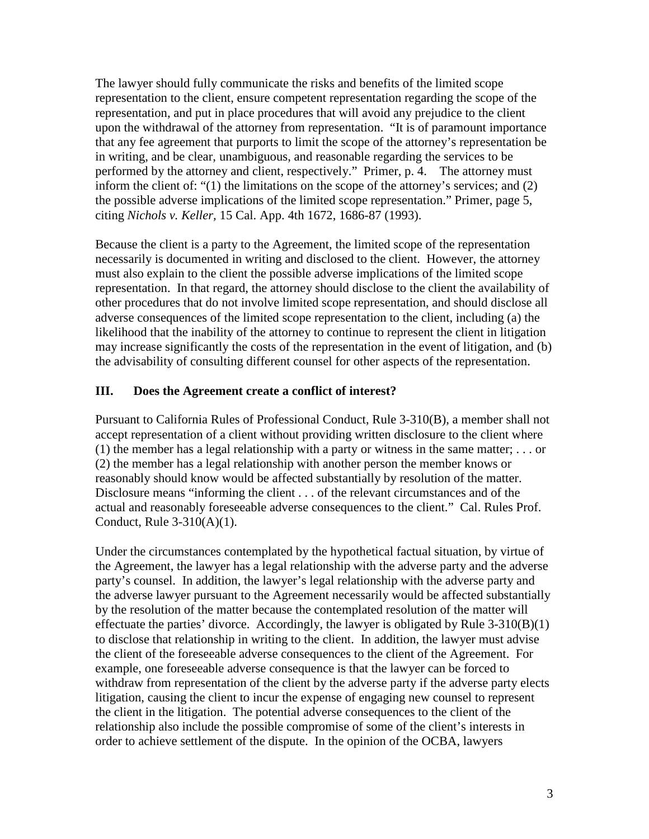The lawyer should fully communicate the risks and benefits of the limited scope representation to the client, ensure competent representation regarding the scope of the representation, and put in place procedures that will avoid any prejudice to the client upon the withdrawal of the attorney from representation. "It is of paramount importance that any fee agreement that purports to limit the scope of the attorney's representation be in writing, and be clear, unambiguous, and reasonable regarding the services to be performed by the attorney and client, respectively." Primer, p. 4. The attorney must inform the client of: "(1) the limitations on the scope of the attorney's services; and (2) the possible adverse implications of the limited scope representation." Primer, page 5, citing *Nichols v. Keller,* 15 Cal. App. 4th 1672, 1686-87 (1993).

Because the client is a party to the Agreement, the limited scope of the representation necessarily is documented in writing and disclosed to the client. However, the attorney must also explain to the client the possible adverse implications of the limited scope representation. In that regard, the attorney should disclose to the client the availability of other procedures that do not involve limited scope representation, and should disclose all adverse consequences of the limited scope representation to the client, including (a) the likelihood that the inability of the attorney to continue to represent the client in litigation may increase significantly the costs of the representation in the event of litigation, and (b) the advisability of consulting different counsel for other aspects of the representation.

### **III. Does the Agreement create a conflict of interest?**

Pursuant to California Rules of Professional Conduct, Rule 3-310(B), a member shall not accept representation of a client without providing written disclosure to the client where (1) the member has a legal relationship with a party or witness in the same matter;  $\dots$  or (2) the member has a legal relationship with another person the member knows or reasonably should know would be affected substantially by resolution of the matter. Disclosure means "informing the client . . . of the relevant circumstances and of the actual and reasonably foreseeable adverse consequences to the client." Cal. Rules Prof. Conduct, Rule 3-310(A)(1).

Under the circumstances contemplated by the hypothetical factual situation, by virtue of the Agreement, the lawyer has a legal relationship with the adverse party and the adverse party's counsel. In addition, the lawyer's legal relationship with the adverse party and the adverse lawyer pursuant to the Agreement necessarily would be affected substantially by the resolution of the matter because the contemplated resolution of the matter will effectuate the parties' divorce. Accordingly, the lawyer is obligated by Rule  $3-310(B)(1)$ to disclose that relationship in writing to the client. In addition, the lawyer must advise the client of the foreseeable adverse consequences to the client of the Agreement. For example, one foreseeable adverse consequence is that the lawyer can be forced to withdraw from representation of the client by the adverse party if the adverse party elects litigation, causing the client to incur the expense of engaging new counsel to represent the client in the litigation. The potential adverse consequences to the client of the relationship also include the possible compromise of some of the client's interests in order to achieve settlement of the dispute. In the opinion of the OCBA, lawyers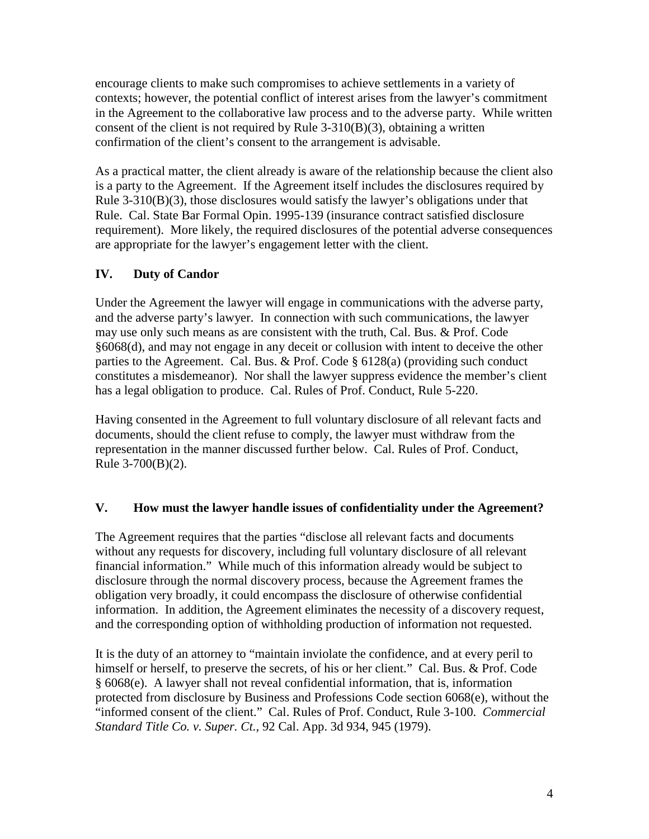encourage clients to make such compromises to achieve settlements in a variety of contexts; however, the potential conflict of interest arises from the lawyer's commitment in the Agreement to the collaborative law process and to the adverse party. While written consent of the client is not required by Rule  $3-310(B)(3)$ , obtaining a written confirmation of the client's consent to the arrangement is advisable.

As a practical matter, the client already is aware of the relationship because the client also is a party to the Agreement. If the Agreement itself includes the disclosures required by Rule 3-310(B)(3), those disclosures would satisfy the lawyer's obligations under that Rule. Cal. State Bar Formal Opin. 1995-139 (insurance contract satisfied disclosure requirement). More likely, the required disclosures of the potential adverse consequences are appropriate for the lawyer's engagement letter with the client.

# **IV. Duty of Candor**

Under the Agreement the lawyer will engage in communications with the adverse party, and the adverse party's lawyer. In connection with such communications, the lawyer may use only such means as are consistent with the truth, Cal. Bus. & Prof. Code §6068(d), and may not engage in any deceit or collusion with intent to deceive the other parties to the Agreement. Cal. Bus. & Prof. Code § 6128(a) (providing such conduct constitutes a misdemeanor). Nor shall the lawyer suppress evidence the member's client has a legal obligation to produce. Cal. Rules of Prof. Conduct, Rule 5-220.

Having consented in the Agreement to full voluntary disclosure of all relevant facts and documents, should the client refuse to comply, the lawyer must withdraw from the representation in the manner discussed further below. Cal. Rules of Prof. Conduct, Rule 3-700(B)(2).

# **V. How must the lawyer handle issues of confidentiality under the Agreement?**

The Agreement requires that the parties "disclose all relevant facts and documents without any requests for discovery, including full voluntary disclosure of all relevant financial information." While much of this information already would be subject to disclosure through the normal discovery process, because the Agreement frames the obligation very broadly, it could encompass the disclosure of otherwise confidential information. In addition, the Agreement eliminates the necessity of a discovery request, and the corresponding option of withholding production of information not requested.

It is the duty of an attorney to "maintain inviolate the confidence, and at every peril to himself or herself, to preserve the secrets, of his or her client." Cal. Bus. & Prof. Code § 6068(e). A lawyer shall not reveal confidential information, that is, information protected from disclosure by Business and Professions Code section 6068(e), without the "informed consent of the client." Cal. Rules of Prof. Conduct, Rule 3-100. *Commercial Standard Title Co. v. Super. Ct.,* 92 Cal. App. 3d 934, 945 (1979).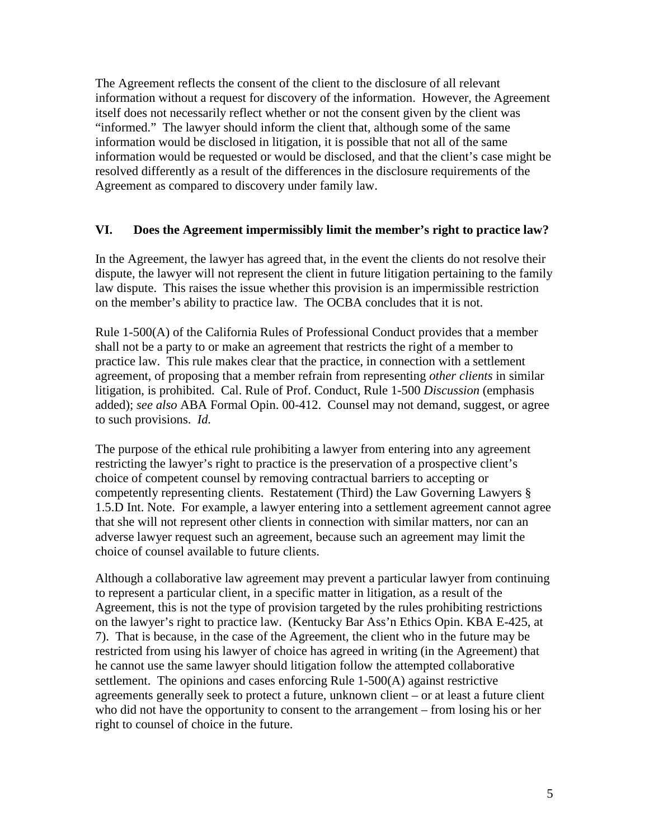The Agreement reflects the consent of the client to the disclosure of all relevant information without a request for discovery of the information. However, the Agreement itself does not necessarily reflect whether or not the consent given by the client was "informed." The lawyer should inform the client that, although some of the same information would be disclosed in litigation, it is possible that not all of the same information would be requested or would be disclosed, and that the client's case might be resolved differently as a result of the differences in the disclosure requirements of the Agreement as compared to discovery under family law.

### **VI. Does the Agreement impermissibly limit the member's right to practice law?**

In the Agreement, the lawyer has agreed that, in the event the clients do not resolve their dispute, the lawyer will not represent the client in future litigation pertaining to the family law dispute. This raises the issue whether this provision is an impermissible restriction on the member's ability to practice law. The OCBA concludes that it is not.

Rule 1-500(A) of the California Rules of Professional Conduct provides that a member shall not be a party to or make an agreement that restricts the right of a member to practice law. This rule makes clear that the practice, in connection with a settlement agreement, of proposing that a member refrain from representing *other clients* in similar litigation, is prohibited. Cal. Rule of Prof. Conduct, Rule 1-500 *Discussion* (emphasis added); *see also* ABA Formal Opin. 00-412. Counsel may not demand, suggest, or agree to such provisions. *Id.* 

The purpose of the ethical rule prohibiting a lawyer from entering into any agreement restricting the lawyer's right to practice is the preservation of a prospective client's choice of competent counsel by removing contractual barriers to accepting or competently representing clients. Restatement (Third) the Law Governing Lawyers § 1.5.D Int. Note. For example, a lawyer entering into a settlement agreement cannot agree that she will not represent other clients in connection with similar matters, nor can an adverse lawyer request such an agreement, because such an agreement may limit the choice of counsel available to future clients.

Although a collaborative law agreement may prevent a particular lawyer from continuing to represent a particular client, in a specific matter in litigation, as a result of the Agreement, this is not the type of provision targeted by the rules prohibiting restrictions on the lawyer's right to practice law. (Kentucky Bar Ass'n Ethics Opin. KBA E-425, at 7). That is because, in the case of the Agreement, the client who in the future may be restricted from using his lawyer of choice has agreed in writing (in the Agreement) that he cannot use the same lawyer should litigation follow the attempted collaborative settlement. The opinions and cases enforcing Rule 1-500(A) against restrictive agreements generally seek to protect a future, unknown client – or at least a future client who did not have the opportunity to consent to the arrangement – from losing his or her right to counsel of choice in the future.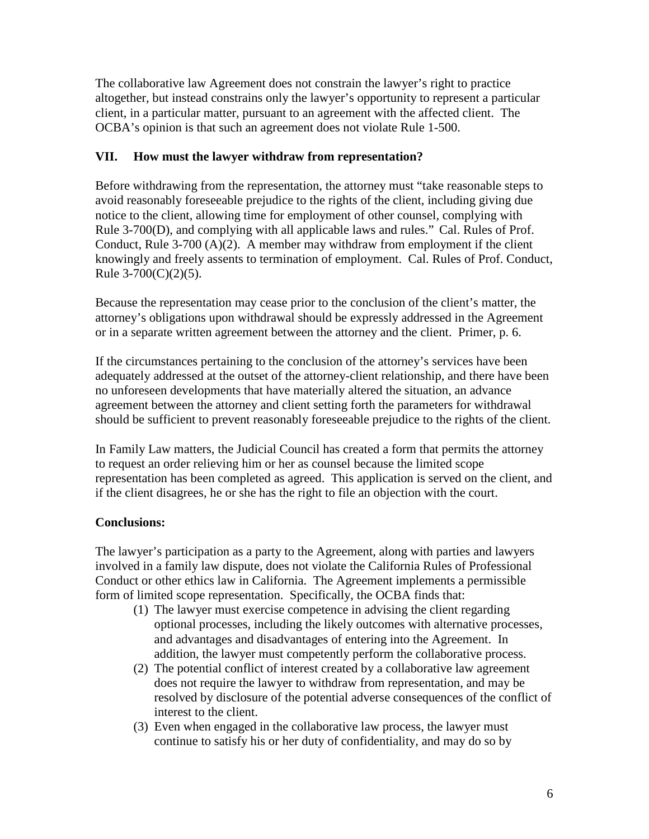The collaborative law Agreement does not constrain the lawyer's right to practice altogether, but instead constrains only the lawyer's opportunity to represent a particular client, in a particular matter, pursuant to an agreement with the affected client. The OCBA's opinion is that such an agreement does not violate Rule 1-500.

## **VII. How must the lawyer withdraw from representation?**

Before withdrawing from the representation, the attorney must "take reasonable steps to avoid reasonably foreseeable prejudice to the rights of the client, including giving due notice to the client, allowing time for employment of other counsel, complying with Rule 3-700(D), and complying with all applicable laws and rules." Cal. Rules of Prof. Conduct, Rule 3-700  $(A)(2)$ . A member may withdraw from employment if the client knowingly and freely assents to termination of employment. Cal. Rules of Prof. Conduct, Rule  $3-700(C)(2)(5)$ .

Because the representation may cease prior to the conclusion of the client's matter, the attorney's obligations upon withdrawal should be expressly addressed in the Agreement or in a separate written agreement between the attorney and the client. Primer, p. 6.

If the circumstances pertaining to the conclusion of the attorney's services have been adequately addressed at the outset of the attorney-client relationship, and there have been no unforeseen developments that have materially altered the situation, an advance agreement between the attorney and client setting forth the parameters for withdrawal should be sufficient to prevent reasonably foreseeable prejudice to the rights of the client.

In Family Law matters, the Judicial Council has created a form that permits the attorney to request an order relieving him or her as counsel because the limited scope representation has been completed as agreed. This application is served on the client, and if the client disagrees, he or she has the right to file an objection with the court.

# **Conclusions:**

The lawyer's participation as a party to the Agreement, along with parties and lawyers involved in a family law dispute, does not violate the California Rules of Professional Conduct or other ethics law in California. The Agreement implements a permissible form of limited scope representation. Specifically, the OCBA finds that:

- (1) The lawyer must exercise competence in advising the client regarding optional processes, including the likely outcomes with alternative processes, and advantages and disadvantages of entering into the Agreement. In addition, the lawyer must competently perform the collaborative process.
- (2) The potential conflict of interest created by a collaborative law agreement does not require the lawyer to withdraw from representation, and may be resolved by disclosure of the potential adverse consequences of the conflict of interest to the client.
- (3) Even when engaged in the collaborative law process, the lawyer must continue to satisfy his or her duty of confidentiality, and may do so by